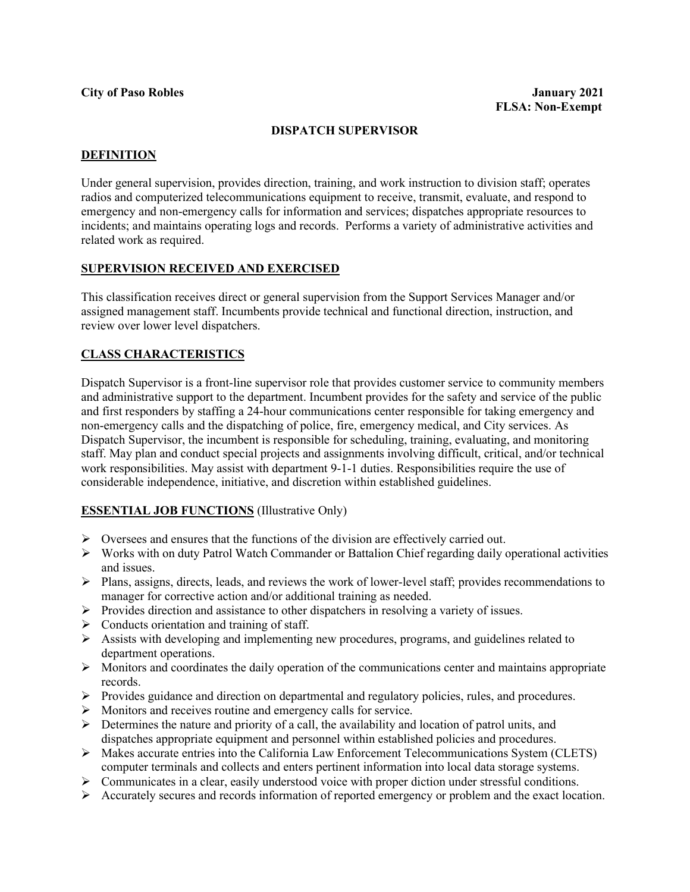## **DISPATCH SUPERVISOR**

#### **DEFINITION**

Under general supervision, provides direction, training, and work instruction to division staff; operates radios and computerized telecommunications equipment to receive, transmit, evaluate, and respond to emergency and non-emergency calls for information and services; dispatches appropriate resources to incidents; and maintains operating logs and records. Performs a variety of administrative activities and related work as required.

## **SUPERVISION RECEIVED AND EXERCISED**

This classification receives direct or general supervision from the Support Services Manager and/or assigned management staff. Incumbents provide technical and functional direction, instruction, and review over lower level dispatchers.

#### **CLASS CHARACTERISTICS**

Dispatch Supervisor is a front-line supervisor role that provides customer service to community members and administrative support to the department. Incumbent provides for the safety and service of the public and first responders by staffing a 24-hour communications center responsible for taking emergency and non-emergency calls and the dispatching of police, fire, emergency medical, and City services. As Dispatch Supervisor, the incumbent is responsible for scheduling, training, evaluating, and monitoring staff. May plan and conduct special projects and assignments involving difficult, critical, and/or technical work responsibilities. May assist with department 9-1-1 duties. Responsibilities require the use of considerable independence, initiative, and discretion within established guidelines.

#### **ESSENTIAL JOB FUNCTIONS** (Illustrative Only)

- $\triangleright$  Oversees and ensures that the functions of the division are effectively carried out.
- $\triangleright$  Works with on duty Patrol Watch Commander or Battalion Chief regarding daily operational activities and issues.
- Plans, assigns, directs, leads, and reviews the work of lower-level staff; provides recommendations to manager for corrective action and/or additional training as needed.
- Provides direction and assistance to other dispatchers in resolving a variety of issues.
- $\triangleright$  Conducts orientation and training of staff.
- $\triangleright$  Assists with developing and implementing new procedures, programs, and guidelines related to department operations.
- $\triangleright$  Monitors and coordinates the daily operation of the communications center and maintains appropriate records.
- Provides guidance and direction on departmental and regulatory policies, rules, and procedures.
- Monitors and receives routine and emergency calls for service.
- $\triangleright$  Determines the nature and priority of a call, the availability and location of patrol units, and dispatches appropriate equipment and personnel within established policies and procedures.
- Makes accurate entries into the California Law Enforcement Telecommunications System (CLETS) computer terminals and collects and enters pertinent information into local data storage systems.
- $\triangleright$  Communicates in a clear, easily understood voice with proper diction under stressful conditions.
- Accurately secures and records information of reported emergency or problem and the exact location.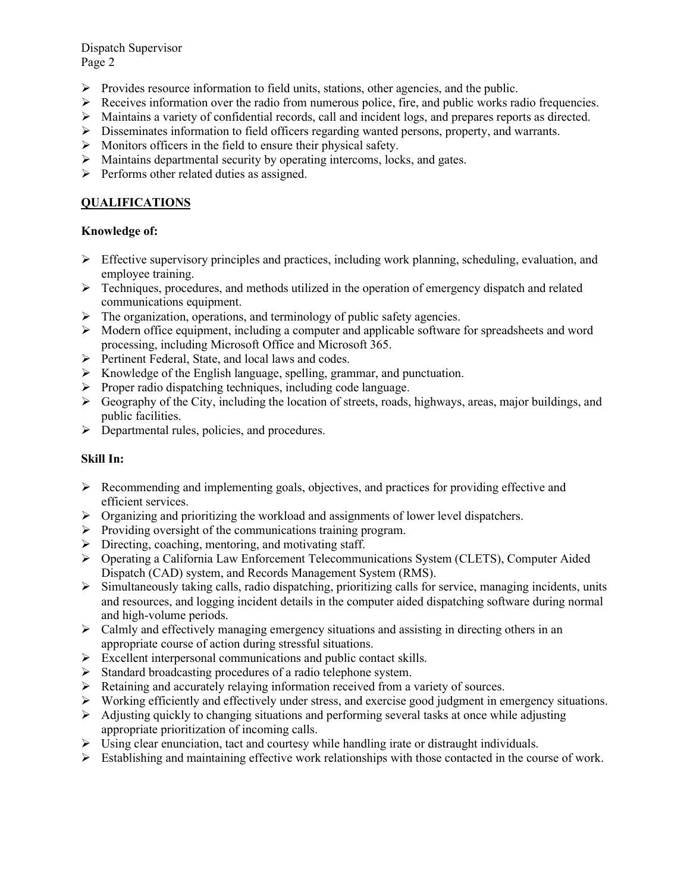Dispatch Supervisor Page 2

- $\triangleright$  Provides resource information to field units, stations, other agencies, and the public.
- $\triangleright$  Receives information over the radio from numerous police, fire, and public works radio frequencies.
- $\triangleright$  Maintains a variety of confidential records, call and incident logs, and prepares reports as directed.
- $\triangleright$  Disseminates information to field officers regarding wanted persons, property, and warrants.
- $\triangleright$  Monitors officers in the field to ensure their physical safety.
- $\triangleright$  Maintains departmental security by operating intercoms, locks, and gates.
- $\triangleright$  Performs other related duties as assigned.

# **QUALIFICATIONS**

# **Knowledge of:**

- $\triangleright$  Effective supervisory principles and practices, including work planning, scheduling, evaluation, and employee training.
- $\triangleright$  Techniques, procedures, and methods utilized in the operation of emergency dispatch and related communications equipment.
- $\triangleright$  The organization, operations, and terminology of public safety agencies.
- $\triangleright$  Modern office equipment, including a computer and applicable software for spreadsheets and word processing, including Microsoft Office and Microsoft 365.
- $\triangleright$  Pertinent Federal, State, and local laws and codes.
- $\triangleright$  Knowledge of the English language, spelling, grammar, and punctuation.
- $\triangleright$  Proper radio dispatching techniques, including code language.
- $\triangleright$  Geography of the City, including the location of streets, roads, highways, areas, major buildings, and public facilities.
- $\triangleright$  Departmental rules, policies, and procedures.

# **Skill In:**

- $\triangleright$  Recommending and implementing goals, objectives, and practices for providing effective and efficient services.
- $\triangleright$  Organizing and prioritizing the workload and assignments of lower level dispatchers.
- $\triangleright$  Providing oversight of the communications training program.
- $\triangleright$  Directing, coaching, mentoring, and motivating staff.
- Operating a California Law Enforcement Telecommunications System (CLETS), Computer Aided Dispatch (CAD) system, and Records Management System (RMS).
- $\triangleright$  Simultaneously taking calls, radio dispatching, prioritizing calls for service, managing incidents, units and resources, and logging incident details in the computer aided dispatching software during normal and high-volume periods.
- $\triangleright$  Calmly and effectively managing emergency situations and assisting in directing others in an appropriate course of action during stressful situations.
- $\triangleright$  Excellent interpersonal communications and public contact skills.
- $\triangleright$  Standard broadcasting procedures of a radio telephone system.
- $\triangleright$  Retaining and accurately relaying information received from a variety of sources.
- Working efficiently and effectively under stress, and exercise good judgment in emergency situations.
- $\triangleright$  Adjusting quickly to changing situations and performing several tasks at once while adjusting appropriate prioritization of incoming calls.
- $\triangleright$  Using clear enunciation, tact and courtesy while handling irate or distraught individuals.
- $\triangleright$  Establishing and maintaining effective work relationships with those contacted in the course of work.